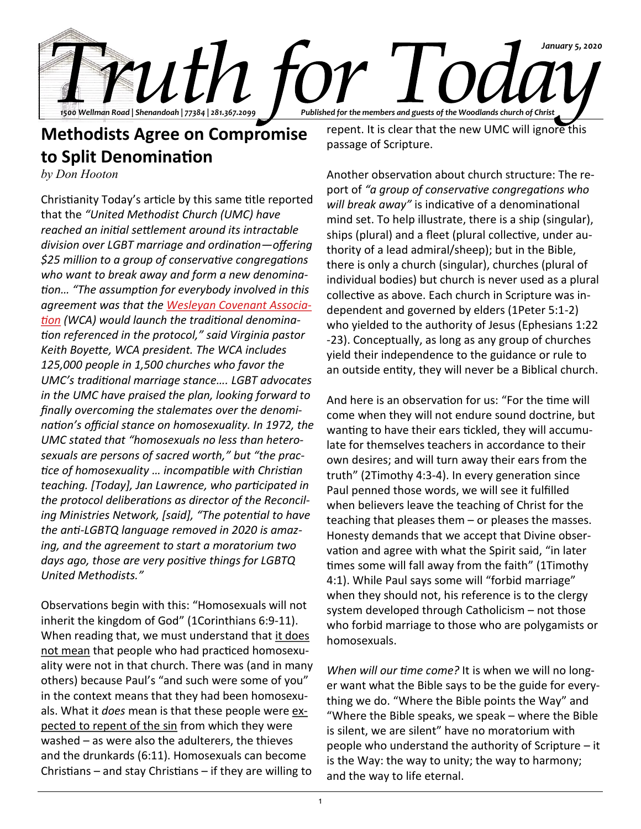

## **Methodists Agree on Compromise to Split Denomination**

*by Don Hooton*

Christianity Today's article by this same title reported that the *"United Methodist Church (UMC) have reached an initial settlement around its intractable division over LGBT marriage and ordination—offering \$25 million to a group of conservative congregations who want to break away and form a new denomination… "The assumption for everybody involved in this agreement was that the [Wesleyan Covenant Associa](https://wesleyancovenant.org/about-page/)[tion](https://wesleyancovenant.org/about-page/) (WCA) would launch the traditional denomination referenced in the protocol," said Virginia pastor Keith Boyette, WCA president. The WCA includes 125,000 people in 1,500 churches who favor the UMC's traditional marriage stance…. LGBT advocates in the UMC have praised the plan, looking forward to finally overcoming the stalemates over the denomination's official stance on homosexuality. In 1972, the UMC stated that "homosexuals no less than heterosexuals are persons of sacred worth," but "the practice of homosexuality … incompatible with Christian teaching. [Today], Jan Lawrence, who participated in the protocol deliberations as director of the Reconciling Ministries Network, [said], "The potential to have the anti-LGBTQ language removed in 2020 is amazing, and the agreement to start a moratorium two days ago, those are very positive things for LGBTQ United Methodists."*

Observations begin with this: "Homosexuals will not inherit the kingdom of God" (1Corinthians 6:9-11). When reading that, we must understand that it does not mean that people who had practiced homosexuality were not in that church. There was (and in many others) because Paul's "and such were some of you" in the context means that they had been homosexuals. What it *does* mean is that these people were expected to repent of the sin from which they were washed – as were also the adulterers, the thieves and the drunkards (6:11). Homosexuals can become Christians – and stay Christians – if they are willing to

repent. It is clear that the new UMC will ignore this passage of Scripture.

Another observation about church structure: The report of *"a group of conservative congregations who will break away"* is indicative of a denominational mind set. To help illustrate, there is a ship (singular), ships (plural) and a fleet (plural collective, under authority of a lead admiral/sheep); but in the Bible, there is only a church (singular), churches (plural of individual bodies) but church is never used as a plural collective as above. Each church in Scripture was independent and governed by elders (1Peter 5:1-2) who yielded to the authority of Jesus (Ephesians 1:22 -23). Conceptually, as long as any group of churches yield their independence to the guidance or rule to an outside entity, they will never be a Biblical church.

And here is an observation for us: "For the time will come when they will not endure sound doctrine, but wanting to have their ears tickled, they will accumulate for themselves teachers in accordance to their own desires; and will turn away their ears from the truth" (2Timothy 4:3-4). In every generation since Paul penned those words, we will see it fulfilled when believers leave the teaching of Christ for the teaching that pleases them – or pleases the masses. Honesty demands that we accept that Divine observation and agree with what the Spirit said, "in later times some will fall away from the faith" (1Timothy 4:1). While Paul says some will "forbid marriage" when they should not, his reference is to the clergy system developed through Catholicism – not those who forbid marriage to those who are polygamists or homosexuals.

*When will our time come?* It is when we will no longer want what the Bible says to be the guide for everything we do. "Where the Bible points the Way" and "Where the Bible speaks, we speak – where the Bible is silent, we are silent" have no moratorium with people who understand the authority of Scripture – it is the Way: the way to unity; the way to harmony; and the way to life eternal.